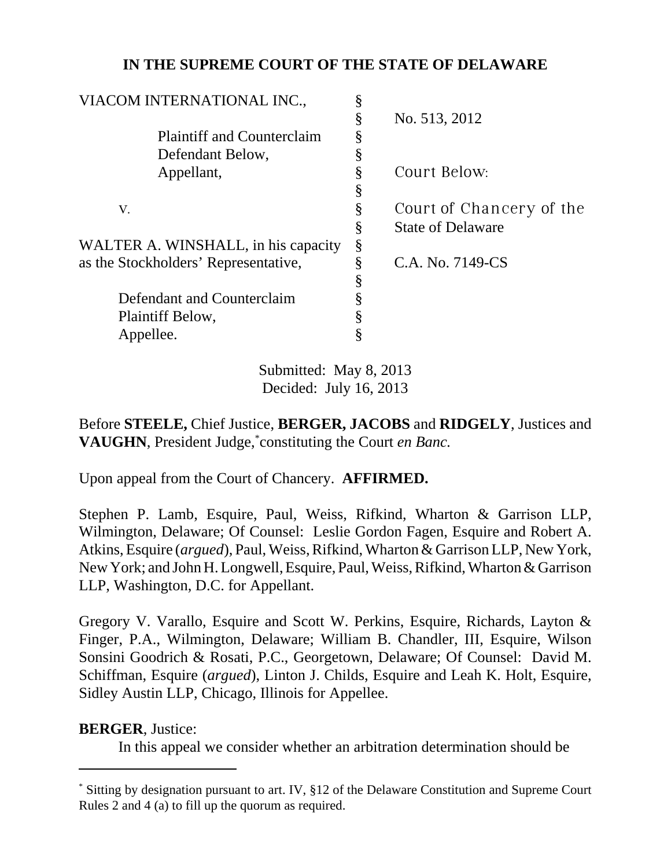# **IN THE SUPREME COURT OF THE STATE OF DELAWARE**

| VIACOM INTERNATIONAL INC.,           | § |                          |
|--------------------------------------|---|--------------------------|
|                                      | § | No. 513, 2012            |
| <b>Plaintiff and Counterclaim</b>    |   |                          |
| Defendant Below,                     | § |                          |
| Appellant,                           | § | Court Below:             |
|                                      | § |                          |
| V.                                   | § | Court of Chancery of the |
|                                      | § | <b>State of Delaware</b> |
| WALTER A. WINSHALL, in his capacity  | § |                          |
| as the Stockholders' Representative, | ş | C.A. No. 7149-CS         |
|                                      | § |                          |
| Defendant and Counterclaim           |   |                          |
| Plaintiff Below,                     | ş |                          |
| Appellee.                            |   |                          |
|                                      |   |                          |

Submitted: May 8, 2013 Decided: July 16, 2013

Before **STEELE,** Chief Justice, **BERGER, JACOBS** and **RIDGELY**, Justices and **VAUGHN**, President Judge,\* constituting the Court *en Banc.*

Upon appeal from the Court of Chancery. **AFFIRMED.**

Stephen P. Lamb, Esquire, Paul, Weiss, Rifkind, Wharton & Garrison LLP, Wilmington, Delaware; Of Counsel: Leslie Gordon Fagen, Esquire and Robert A. Atkins, Esquire (*argued*), Paul, Weiss, Rifkind, Wharton & Garrison LLP, New York, New York; and John H. Longwell, Esquire, Paul, Weiss, Rifkind, Wharton & Garrison LLP, Washington, D.C. for Appellant.

Gregory V. Varallo, Esquire and Scott W. Perkins, Esquire, Richards, Layton & Finger, P.A., Wilmington, Delaware; William B. Chandler, III, Esquire, Wilson Sonsini Goodrich & Rosati, P.C., Georgetown, Delaware; Of Counsel: David M. Schiffman, Esquire (*argued*), Linton J. Childs, Esquire and Leah K. Holt, Esquire, Sidley Austin LLP, Chicago, Illinois for Appellee.

## **BERGER**, Justice:

In this appeal we consider whether an arbitration determination should be

<sup>\*</sup> Sitting by designation pursuant to art. IV, §12 of the Delaware Constitution and Supreme Court Rules 2 and 4 (a) to fill up the quorum as required.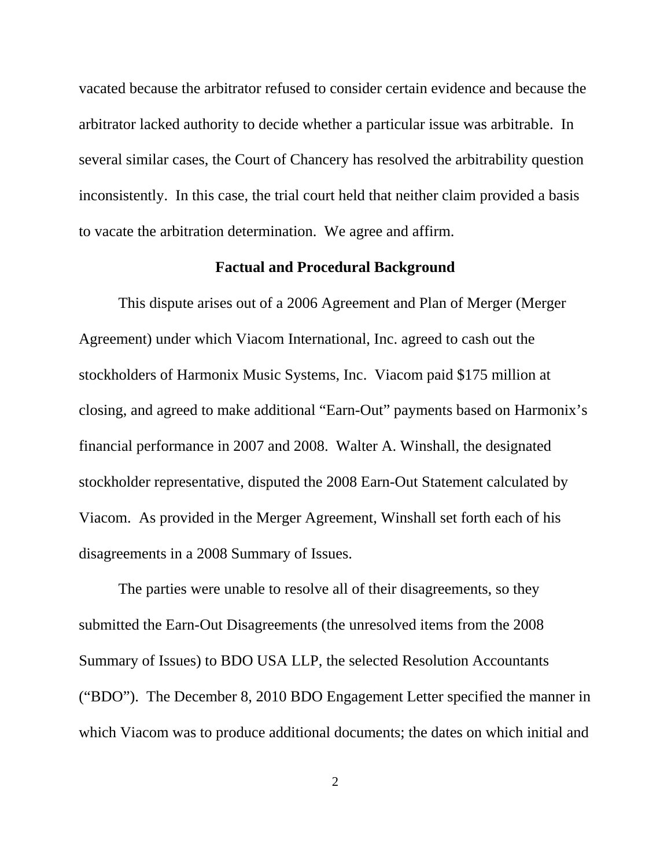vacated because the arbitrator refused to consider certain evidence and because the arbitrator lacked authority to decide whether a particular issue was arbitrable. In several similar cases, the Court of Chancery has resolved the arbitrability question inconsistently. In this case, the trial court held that neither claim provided a basis to vacate the arbitration determination. We agree and affirm.

## **Factual and Procedural Background**

This dispute arises out of a 2006 Agreement and Plan of Merger (Merger Agreement) under which Viacom International, Inc. agreed to cash out the stockholders of Harmonix Music Systems, Inc. Viacom paid \$175 million at closing, and agreed to make additional "Earn-Out" payments based on Harmonix's financial performance in 2007 and 2008. Walter A. Winshall, the designated stockholder representative, disputed the 2008 Earn-Out Statement calculated by Viacom. As provided in the Merger Agreement, Winshall set forth each of his disagreements in a 2008 Summary of Issues.

The parties were unable to resolve all of their disagreements, so they submitted the Earn-Out Disagreements (the unresolved items from the 2008 Summary of Issues) to BDO USA LLP, the selected Resolution Accountants ("BDO"). The December 8, 2010 BDO Engagement Letter specified the manner in which Viacom was to produce additional documents; the dates on which initial and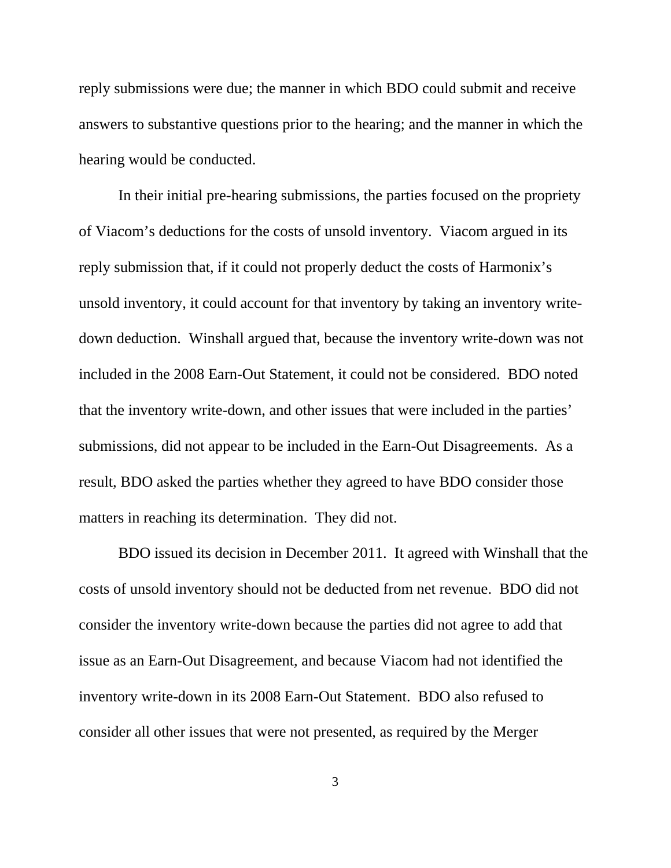reply submissions were due; the manner in which BDO could submit and receive answers to substantive questions prior to the hearing; and the manner in which the hearing would be conducted.

In their initial pre-hearing submissions, the parties focused on the propriety of Viacom's deductions for the costs of unsold inventory. Viacom argued in its reply submission that, if it could not properly deduct the costs of Harmonix's unsold inventory, it could account for that inventory by taking an inventory writedown deduction. Winshall argued that, because the inventory write-down was not included in the 2008 Earn-Out Statement, it could not be considered. BDO noted that the inventory write-down, and other issues that were included in the parties' submissions, did not appear to be included in the Earn-Out Disagreements. As a result, BDO asked the parties whether they agreed to have BDO consider those matters in reaching its determination. They did not.

BDO issued its decision in December 2011. It agreed with Winshall that the costs of unsold inventory should not be deducted from net revenue. BDO did not consider the inventory write-down because the parties did not agree to add that issue as an Earn-Out Disagreement, and because Viacom had not identified the inventory write-down in its 2008 Earn-Out Statement. BDO also refused to consider all other issues that were not presented, as required by the Merger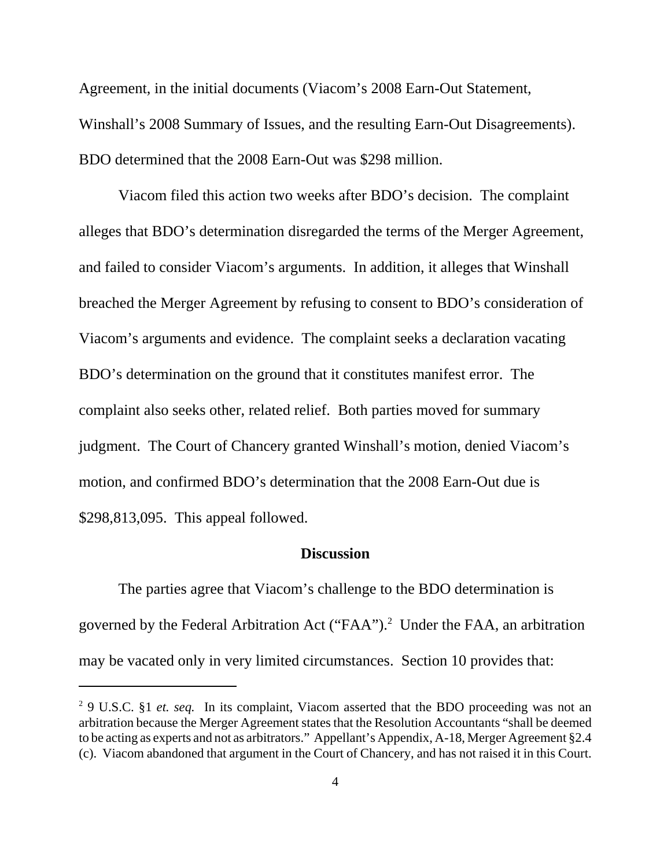Agreement, in the initial documents (Viacom's 2008 Earn-Out Statement, Winshall's 2008 Summary of Issues, and the resulting Earn-Out Disagreements). BDO determined that the 2008 Earn-Out was \$298 million.

Viacom filed this action two weeks after BDO's decision. The complaint alleges that BDO's determination disregarded the terms of the Merger Agreement, and failed to consider Viacom's arguments. In addition, it alleges that Winshall breached the Merger Agreement by refusing to consent to BDO's consideration of Viacom's arguments and evidence. The complaint seeks a declaration vacating BDO's determination on the ground that it constitutes manifest error. The complaint also seeks other, related relief. Both parties moved for summary judgment. The Court of Chancery granted Winshall's motion, denied Viacom's motion, and confirmed BDO's determination that the 2008 Earn-Out due is \$298,813,095. This appeal followed.

### **Discussion**

The parties agree that Viacom's challenge to the BDO determination is governed by the Federal Arbitration Act ("FAA").<sup>2</sup> Under the FAA, an arbitration may be vacated only in very limited circumstances. Section 10 provides that:

<sup>&</sup>lt;sup>2</sup> 9 U.S.C. §1 *et. seq.* In its complaint, Viacom asserted that the BDO proceeding was not an arbitration because the Merger Agreement states that the Resolution Accountants "shall be deemed to be acting as experts and not as arbitrators." Appellant's Appendix, A-18, Merger Agreement §2.4 (c). Viacom abandoned that argument in the Court of Chancery, and has not raised it in this Court.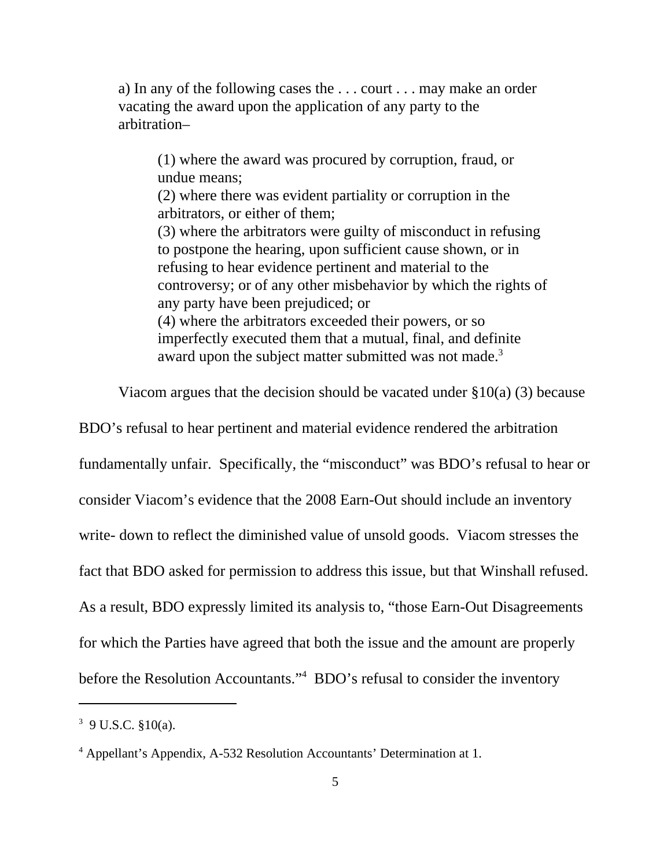a) In any of the following cases the . . . court . . . may make an order vacating the award upon the application of any party to the arbitration–

(1) where the award was procured by corruption, fraud, or undue means;

(2) where there was evident partiality or corruption in the arbitrators, or either of them;

(3) where the arbitrators were guilty of misconduct in refusing to postpone the hearing, upon sufficient cause shown, or in refusing to hear evidence pertinent and material to the controversy; or of any other misbehavior by which the rights of any party have been prejudiced; or (4) where the arbitrators exceeded their powers, or so

imperfectly executed them that a mutual, final, and definite award upon the subject matter submitted was not made.<sup>3</sup>

Viacom argues that the decision should be vacated under  $\S 10(a)$  (3) because

BDO's refusal to hear pertinent and material evidence rendered the arbitration fundamentally unfair. Specifically, the "misconduct" was BDO's refusal to hear or consider Viacom's evidence that the 2008 Earn-Out should include an inventory write- down to reflect the diminished value of unsold goods. Viacom stresses the fact that BDO asked for permission to address this issue, but that Winshall refused. As a result, BDO expressly limited its analysis to, "those Earn-Out Disagreements for which the Parties have agreed that both the issue and the amount are properly before the Resolution Accountants."<sup>4</sup> BDO's refusal to consider the inventory

 $3$  9 U.S.C.  $$10(a)$ .

<sup>&</sup>lt;sup>4</sup> Appellant's Appendix, A-532 Resolution Accountants' Determination at 1.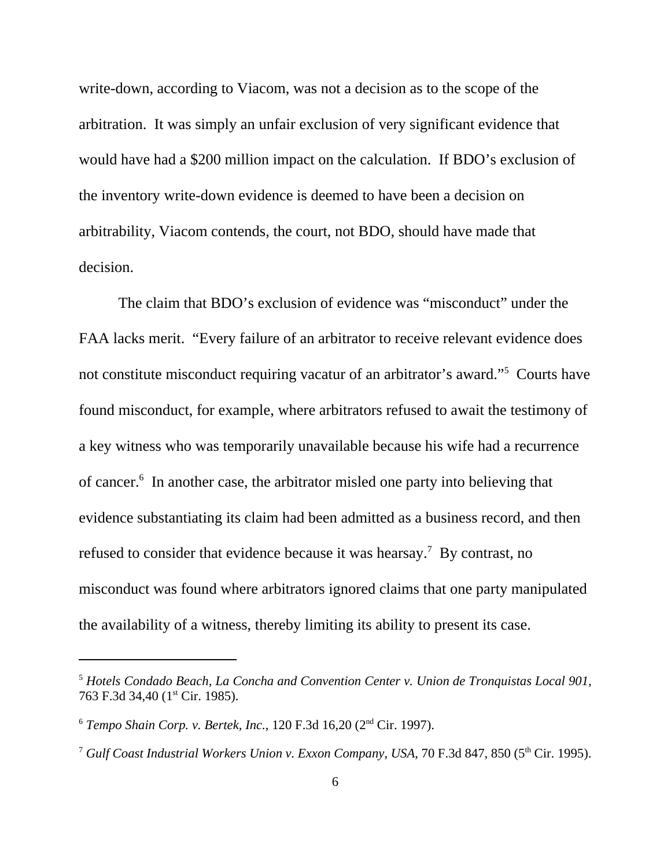write-down, according to Viacom, was not a decision as to the scope of the arbitration. It was simply an unfair exclusion of very significant evidence that would have had a \$200 million impact on the calculation. If BDO's exclusion of the inventory write-down evidence is deemed to have been a decision on arbitrability, Viacom contends, the court, not BDO, should have made that decision.

The claim that BDO's exclusion of evidence was "misconduct" under the FAA lacks merit. "Every failure of an arbitrator to receive relevant evidence does not constitute misconduct requiring vacatur of an arbitrator's award."5 Courts have found misconduct, for example, where arbitrators refused to await the testimony of a key witness who was temporarily unavailable because his wife had a recurrence of cancer.<sup>6</sup> In another case, the arbitrator misled one party into believing that evidence substantiating its claim had been admitted as a business record, and then refused to consider that evidence because it was hearsay.<sup>7</sup> By contrast, no misconduct was found where arbitrators ignored claims that one party manipulated the availability of a witness, thereby limiting its ability to present its case.

<sup>5</sup> *Hotels Condado Beach, La Concha and Convention Center v. Union de Tronquistas Local 901,* 763 F.3d 34,40 (1<sup>st</sup> Cir. 1985).

<sup>6</sup> *Tempo Shain Corp. v. Bertek, Inc.*, 120 F.3d 16,20 (2nd Cir. 1997).

<sup>&</sup>lt;sup>7</sup> *Gulf Coast Industrial Workers Union v. Exxon Company, USA, 70 F.3d 847, 850 (5<sup>th</sup> Cir. 1995).*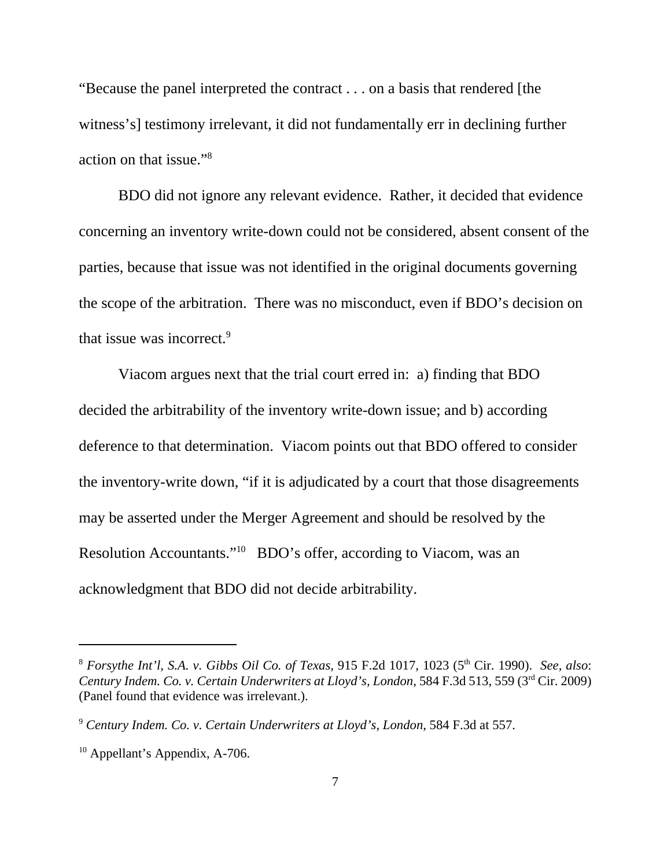"Because the panel interpreted the contract . . . on a basis that rendered [the witness's] testimony irrelevant, it did not fundamentally err in declining further action on that issue."8

BDO did not ignore any relevant evidence. Rather, it decided that evidence concerning an inventory write-down could not be considered, absent consent of the parties, because that issue was not identified in the original documents governing the scope of the arbitration. There was no misconduct, even if BDO's decision on that issue was incorrect.<sup>9</sup>

Viacom argues next that the trial court erred in: a) finding that BDO decided the arbitrability of the inventory write-down issue; and b) according deference to that determination. Viacom points out that BDO offered to consider the inventory-write down, "if it is adjudicated by a court that those disagreements may be asserted under the Merger Agreement and should be resolved by the Resolution Accountants."10 BDO's offer, according to Viacom, was an acknowledgment that BDO did not decide arbitrability.

<sup>8</sup> *Forsythe Int'l, S.A. v. Gibbs Oil Co. of Texas*, 915 F.2d 1017, 1023 (5th Cir. 1990). *See, also*: *Century Indem. Co. v. Certain Underwriters at Lloyd's, London*, 584 F.3d 513, 559 (3rd Cir. 2009) (Panel found that evidence was irrelevant.).

<sup>9</sup> *Century Indem. Co. v. Certain Underwriters at Lloyd's, London*, 584 F.3d at 557.

<sup>&</sup>lt;sup>10</sup> Appellant's Appendix, A-706.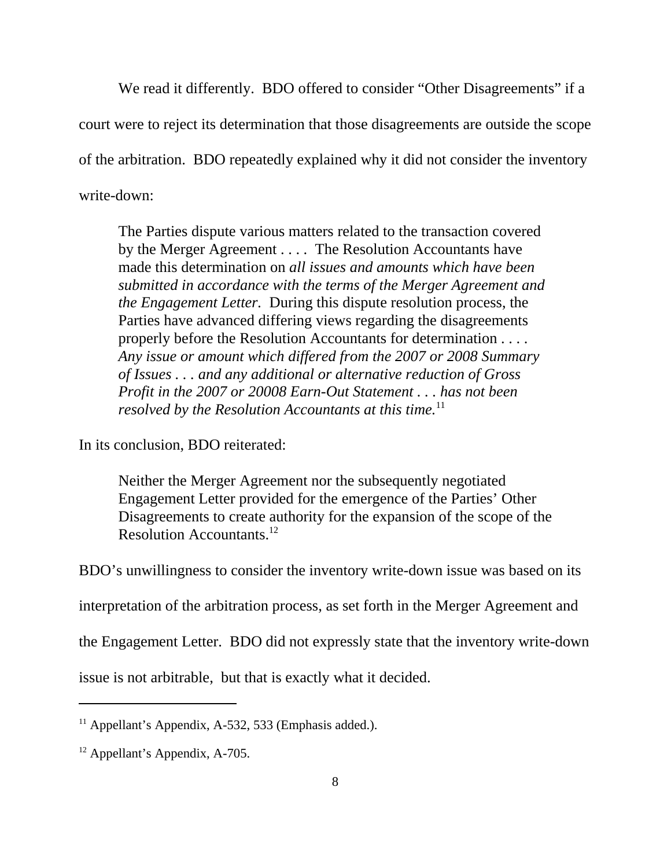We read it differently. BDO offered to consider "Other Disagreements" if a court were to reject its determination that those disagreements are outside the scope of the arbitration. BDO repeatedly explained why it did not consider the inventory write-down:

The Parties dispute various matters related to the transaction covered by the Merger Agreement . . . . The Resolution Accountants have made this determination on *all issues and amounts which have been submitted in accordance with the terms of the Merger Agreement and the Engagement Letter.* During this dispute resolution process, the Parties have advanced differing views regarding the disagreements properly before the Resolution Accountants for determination . . . . *Any issue or amount which differed from the 2007 or 2008 Summary of Issues . . . and any additional or alternative reduction of Gross Profit in the 2007 or 20008 Earn-Out Statement . . . has not been resolved by the Resolution Accountants at this time.*<sup>11</sup>

In its conclusion, BDO reiterated:

Neither the Merger Agreement nor the subsequently negotiated Engagement Letter provided for the emergence of the Parties' Other Disagreements to create authority for the expansion of the scope of the Resolution Accountants.12

BDO's unwillingness to consider the inventory write-down issue was based on its

interpretation of the arbitration process, as set forth in the Merger Agreement and

the Engagement Letter. BDO did not expressly state that the inventory write-down

issue is not arbitrable, but that is exactly what it decided.

 $11$  Appellant's Appendix, A-532, 533 (Emphasis added.).

<sup>12</sup> Appellant's Appendix, A-705.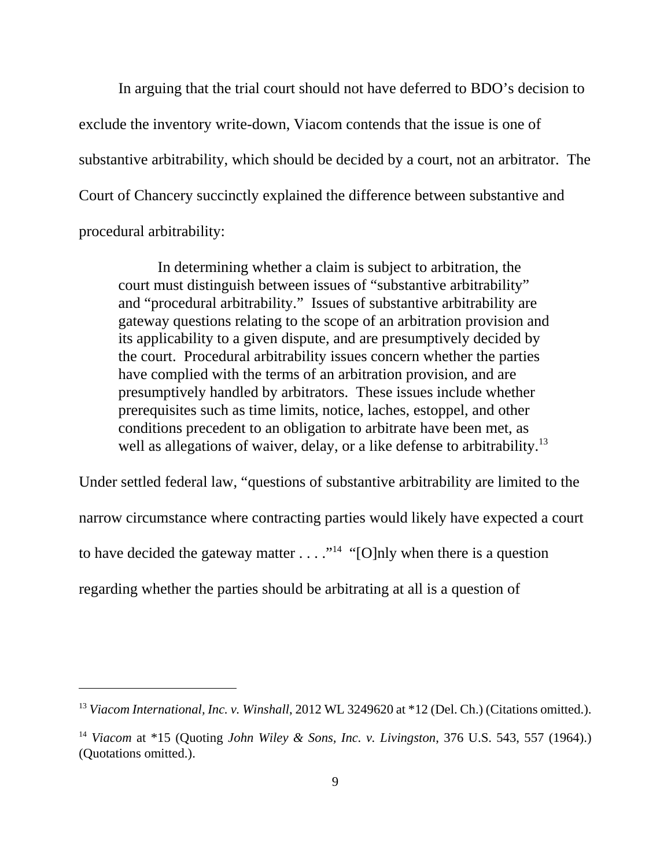In arguing that the trial court should not have deferred to BDO's decision to exclude the inventory write-down, Viacom contends that the issue is one of substantive arbitrability, which should be decided by a court, not an arbitrator. The Court of Chancery succinctly explained the difference between substantive and procedural arbitrability:

In determining whether a claim is subject to arbitration, the court must distinguish between issues of "substantive arbitrability" and "procedural arbitrability." Issues of substantive arbitrability are gateway questions relating to the scope of an arbitration provision and its applicability to a given dispute, and are presumptively decided by the court. Procedural arbitrability issues concern whether the parties have complied with the terms of an arbitration provision, and are presumptively handled by arbitrators. These issues include whether prerequisites such as time limits, notice, laches, estoppel, and other conditions precedent to an obligation to arbitrate have been met, as well as allegations of waiver, delay, or a like defense to arbitrability.<sup>13</sup>

Under settled federal law, "questions of substantive arbitrability are limited to the narrow circumstance where contracting parties would likely have expected a court to have decided the gateway matter  $\dots$  ."<sup>14</sup> "[O]nly when there is a question regarding whether the parties should be arbitrating at all is a question of

<sup>&</sup>lt;sup>13</sup> *Viacom International, Inc. v. Winshall,* 2012 WL 3249620 at \*12 (Del. Ch.) (Citations omitted.).

<sup>14</sup> *Viacom* at \*15 (Quoting *John Wiley & Sons, Inc. v. Livingston*, 376 U.S. 543, 557 (1964).) (Quotations omitted.).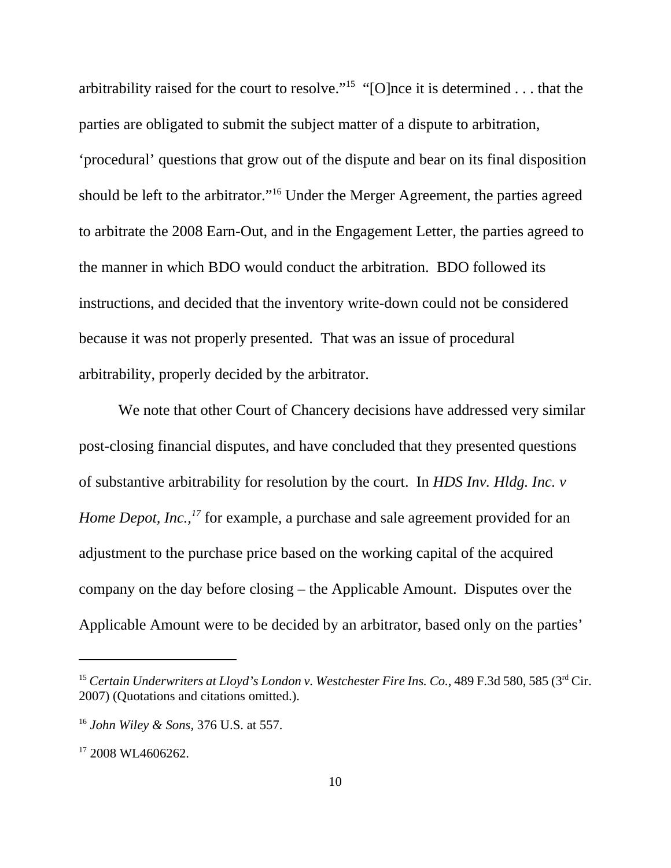arbitrability raised for the court to resolve."15 "[O]nce it is determined . . . that the parties are obligated to submit the subject matter of a dispute to arbitration, 'procedural' questions that grow out of the dispute and bear on its final disposition should be left to the arbitrator."16 Under the Merger Agreement, the parties agreed to arbitrate the 2008 Earn-Out, and in the Engagement Letter, the parties agreed to the manner in which BDO would conduct the arbitration. BDO followed its instructions, and decided that the inventory write-down could not be considered because it was not properly presented. That was an issue of procedural arbitrability, properly decided by the arbitrator.

We note that other Court of Chancery decisions have addressed very similar post-closing financial disputes, and have concluded that they presented questions of substantive arbitrability for resolution by the court. In *HDS Inv. Hldg. Inc. v Home Depot, Inc.,*<sup>17</sup> for example, a purchase and sale agreement provided for an adjustment to the purchase price based on the working capital of the acquired company on the day before closing – the Applicable Amount. Disputes over the Applicable Amount were to be decided by an arbitrator, based only on the parties'

<sup>&</sup>lt;sup>15</sup> Certain Underwriters at Lloyd's London v. Westchester Fire Ins. Co., 489 F.3d 580, 585 (3<sup>rd</sup> Cir. 2007) (Quotations and citations omitted.).

<sup>16</sup> *John Wiley & Sons,* 376 U.S. at 557.

<sup>&</sup>lt;sup>17</sup> 2008 WL4606262.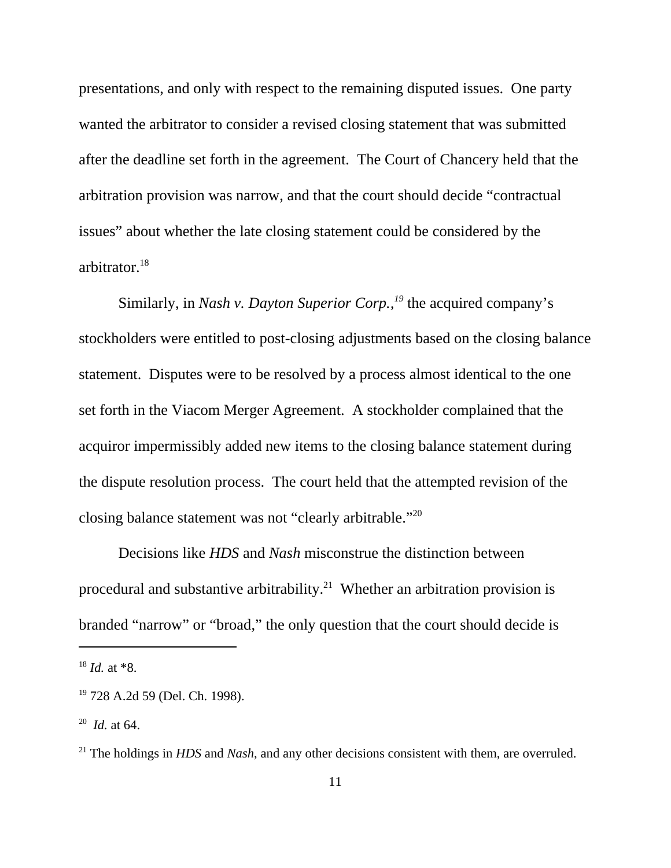presentations, and only with respect to the remaining disputed issues. One party wanted the arbitrator to consider a revised closing statement that was submitted after the deadline set forth in the agreement. The Court of Chancery held that the arbitration provision was narrow, and that the court should decide "contractual issues" about whether the late closing statement could be considered by the arbitrator.18

Similarly, in *Nash v. Dayton Superior Corp.*,<sup>19</sup> the acquired company's stockholders were entitled to post-closing adjustments based on the closing balance statement. Disputes were to be resolved by a process almost identical to the one set forth in the Viacom Merger Agreement. A stockholder complained that the acquiror impermissibly added new items to the closing balance statement during the dispute resolution process. The court held that the attempted revision of the closing balance statement was not "clearly arbitrable."20

Decisions like *HDS* and *Nash* misconstrue the distinction between procedural and substantive arbitrability.<sup>21</sup> Whether an arbitration provision is branded "narrow" or "broad," the only question that the court should decide is

<sup>18</sup> *Id.* at \*8.

<sup>19 728</sup> A.2d 59 (Del. Ch. 1998).

<sup>20</sup> *Id.* at 64.

<sup>&</sup>lt;sup>21</sup> The holdings in *HDS* and *Nash*, and any other decisions consistent with them, are overruled.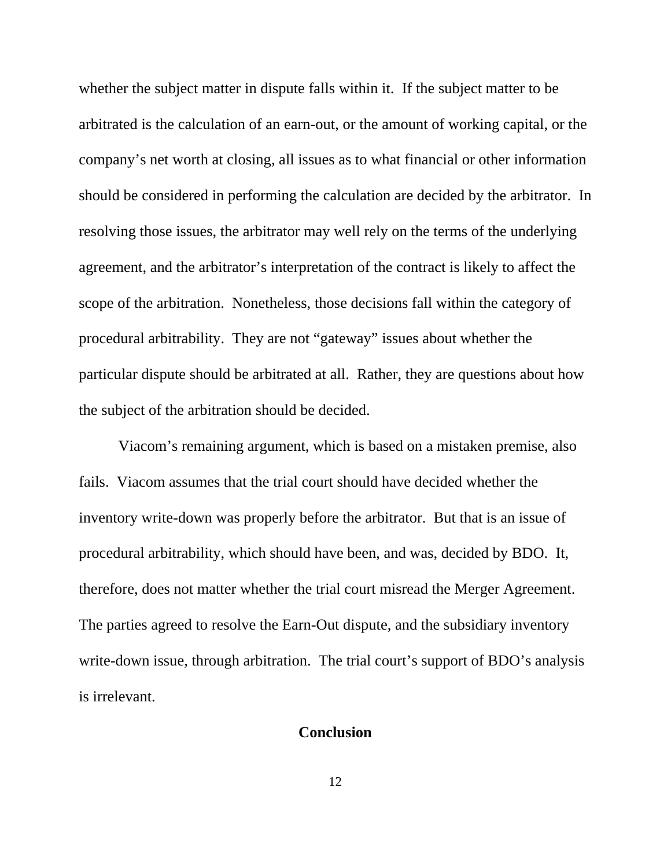whether the subject matter in dispute falls within it. If the subject matter to be arbitrated is the calculation of an earn-out, or the amount of working capital, or the company's net worth at closing, all issues as to what financial or other information should be considered in performing the calculation are decided by the arbitrator. In resolving those issues, the arbitrator may well rely on the terms of the underlying agreement, and the arbitrator's interpretation of the contract is likely to affect the scope of the arbitration. Nonetheless, those decisions fall within the category of procedural arbitrability. They are not "gateway" issues about whether the particular dispute should be arbitrated at all. Rather, they are questions about how the subject of the arbitration should be decided.

Viacom's remaining argument, which is based on a mistaken premise, also fails. Viacom assumes that the trial court should have decided whether the inventory write-down was properly before the arbitrator. But that is an issue of procedural arbitrability, which should have been, and was, decided by BDO. It, therefore, does not matter whether the trial court misread the Merger Agreement. The parties agreed to resolve the Earn-Out dispute, and the subsidiary inventory write-down issue, through arbitration. The trial court's support of BDO's analysis is irrelevant.

### **Conclusion**